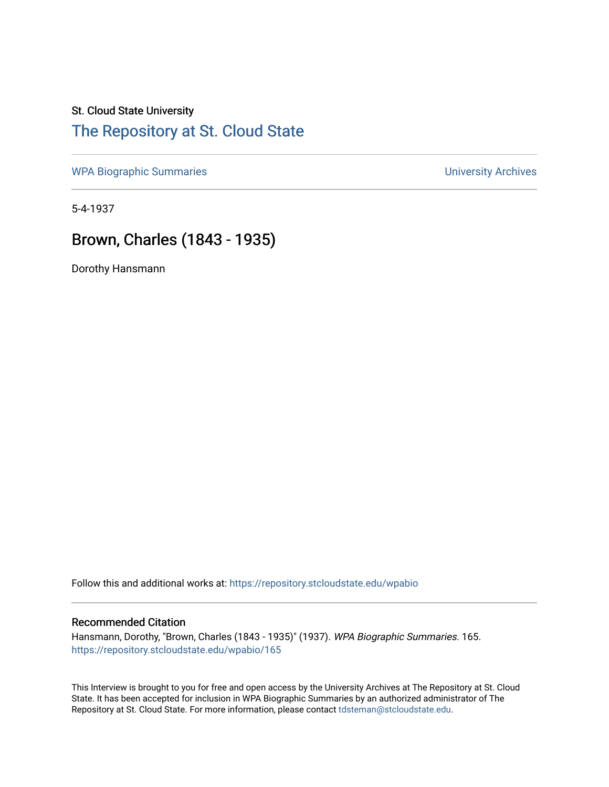## St. Cloud State University [The Repository at St. Cloud State](https://repository.stcloudstate.edu/)

[WPA Biographic Summaries](https://repository.stcloudstate.edu/wpabio) **WPA Biographic Summaries University Archives** 

5-4-1937

## Brown, Charles (1843 - 1935)

Dorothy Hansmann

Follow this and additional works at: [https://repository.stcloudstate.edu/wpabio](https://repository.stcloudstate.edu/wpabio?utm_source=repository.stcloudstate.edu%2Fwpabio%2F165&utm_medium=PDF&utm_campaign=PDFCoverPages) 

## Recommended Citation

Hansmann, Dorothy, "Brown, Charles (1843 - 1935)" (1937). WPA Biographic Summaries. 165. [https://repository.stcloudstate.edu/wpabio/165](https://repository.stcloudstate.edu/wpabio/165?utm_source=repository.stcloudstate.edu%2Fwpabio%2F165&utm_medium=PDF&utm_campaign=PDFCoverPages) 

This Interview is brought to you for free and open access by the University Archives at The Repository at St. Cloud State. It has been accepted for inclusion in WPA Biographic Summaries by an authorized administrator of The Repository at St. Cloud State. For more information, please contact [tdsteman@stcloudstate.edu.](mailto:tdsteman@stcloudstate.edu)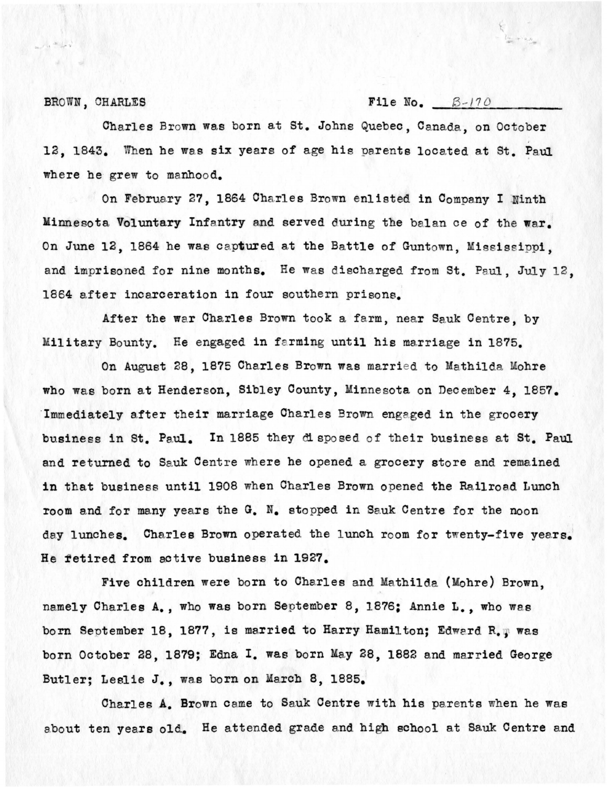BROWN, CHARLES **File No.**  $B-170$ 

لأحبله يعبد ممر

Charles Brown was born at St. Johns Quebec, Canada, on October 12. 1843. When he was six years of age his parents located at St. Paul where he grew to manhood.

On February 27, 1864 Charles Brown enlisted in Company I Ninth Minnesota Voluntary Infantry and served during the balan ce of the war. On June 12, 1864 he was captured at the Battle of Guntown, Mississippi, and imprisoned for nine months. He was discharged from St. Paul, July 12. 1864 after incarceration in four southern prisons.

After the war Charles Brown took a farm, near Sauk Centre, by Military Bounty. He engaged in farming until his marriage in 1875.

On August 28, 1875 Charles Brown was married to Mathilda Mohre who was born at Henderson, Sibley County, Minnesota on December 4, 1857. Immediately after their marriage Charles Brown engaged in the grocery business in St. Paul. In 1885 they disposed of their business at St. Paul and returned to Sauk Centre where he opened a grocery store and remained in that business until 1908 when Charles Brown opened the Railroad Lunch room and for many years the G. N. stopped in Sauk Centre for the noon day lunches. Charles Brown operated the lunch room for twenty-five years. He fetired from active business in 1927.

Five children were born to Charles and Mathilda (Mohre) Brown, namely Charles A., who was born September 8, 1876; Annie L., who was born September 18, 1877, is married to Harry Hamilton; Edward R. . was born October 28, 1879; Edna I. was born May 28, 1882 and married George Butler; Leslie J., was born on March 8, 1885.

Charles A. Brown came to Sauk Centre with his parents when he was about ten years old. He attended grade and high school at Sauk Centre and